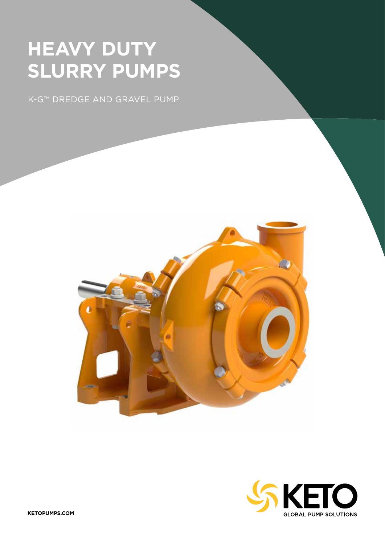# **HEAVY DUTY SLURRY PUMPS**

K-G™ DREDGE AND GRAVEL PUMP



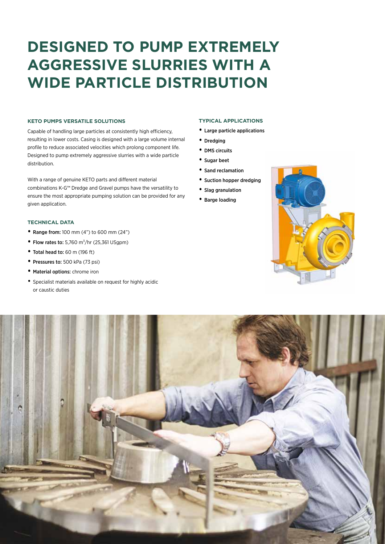# **DESIGNED TO PUMP EXTREMELY AGGRESSIVE SLURRIES WITH A WIDE PARTICLE DISTRIBUTION**

### **KETO PUMPS VERSATILE SOLUTIONS**

Capable of handling large particles at consistently high efficiency, resulting in lower costs. Casing is designed with a large volume internal profile to reduce associated velocities which prolong component life. Designed to pump extremely aggressive slurries with a wide particle distribution.

With a range of genuine KETO parts and different material combinations K-G™ Dredge and Gravel pumps have the versatility to ensure the most appropriate pumping solution can be provided for any given application.

## **TECHNICAL DATA**

- Range from: 100 mm (4") to 600 mm (24")
- Flow rates to: 5,760  $m^3/hr$  (25,361 USgpm)
- Total head to: 60 m (196 ft)
- Pressures to: 500 kPa (73 psi)
- Material options: chrome iron
- Specialist materials available on request for highly acidic or caustic duties

### **TYPICAL APPLICATIONS**

- Large particle applications
- Dredging
- DMS circuits
- Sugar beet
- Sand reclamation
- Suction hopper dredging
- Slag granulation
- Barge loading



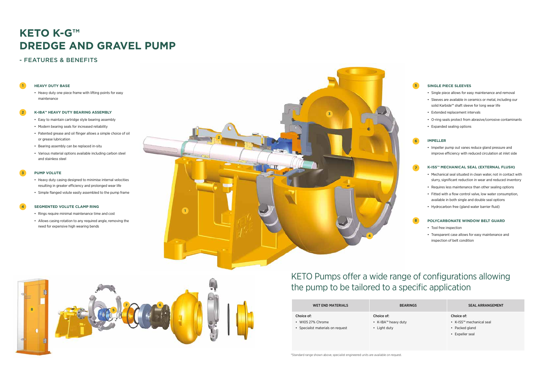**1**

**5**



**7**

\*Standard range shown above, specialist engineered units are available on request.

# KETO Pumps offer a wide range of configurations allowing the pump to be tailored to a specific application

### **2 K-IBA™ HEAVY DUTY BEARING ASSEMBLY**

# **KETO K-G™ DREDGE AND GRAVEL PUMP**

## - FEATURES & BENEFITS

## **HEAVY DUTY BASE**

• Heavy duty one piece frame with lifting points for easy maintenance

### **3 PUMP VOLUTE**

### **4 SEGMENTED VOLUTE CLAMP RING**

- Easy to maintain cartridge style bearing assembly
- Modern bearing seals for increased reliability
- Patented grease and oil flinger allows a simple choice of oil or grease lubrication
- Bearing assembly can be replaced in-situ
- Various material options available including carbon steel and stainless steel

- Heavy duty casing designed to minimise internal velocities resulting in greater efficiency and prolonged wear life
- Simple flanged volute easily assembled to the pump frame

- Rings require minimal maintenance time and cost
- Allows casing rotation to any required angle, removing the need for expensive high wearing bends

## **SINGLE PIECE SLEEVES**

- Single piece allows for easy maintenance and removal
- Sleeves are available in ceramics or metal, including our solid Karbide™ shaft sleeve for long wear life
- Extended replacement intervals
- O-ring seals protect from abrasive/corrosive contaminants
- Expanded sealing options

### **IMPELLER**

• Impeller pump out vanes reduce gland pressure and improve efficiency with reduced circulation at inlet side

## **K-ISS™ MECHANICAL SEAL (EXTERNAL FLUSH)**

- Mechanical seal situated in clean water, not in contact with slurry, significant reduction in wear and reduced inventory
- Requires less maintenance than other sealing options
- Fitted with a flow control valve, low water consumption, available in both single and double seal options
- Hydrocarbon free (gland water barrier fluid)

## **POLYCARBONATE WINDOW BELT GUARD**

- Tool free inspection
- Transparent case allows for easy maintenance and inspection of belt condition

## WET END MATERIALS BEARINGS SEAL ARRANGEMENT

| <b>WET END MATERIALS</b>          | <b>BEARIN</b>       |
|-----------------------------------|---------------------|
| Choice of:                        | Choice of:          |
| $\cdot$ WI05 27% Chrome           | • K-IBA™ heavy duty |
| • Specialist materials on request | • Light duty        |

### Choice of:

- K-ISS™ mechanical seal
- Packed gland
- Expeller seal





## **8**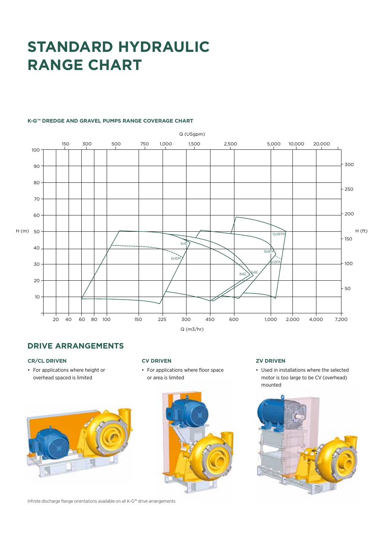# **STANDARD HYDRAULIC RANGE CHART**

## **K-G™ DREDGE AND GRAVEL PUMPS RANGE COVERAGE CHART**



## **DRIVE ARRANGEMENTS**

## **CR/CL DRIVEN**

• For applications where height or overhead spaced is limited



Infinite discharge flange orientations available on all K-G™ drive arrangements

### **CV DRIVEN**

• For applications where floor space or area is limited



### **ZV DRIVEN**

• Used in installations where the selected motor is too large to be CV (overhead) mounted